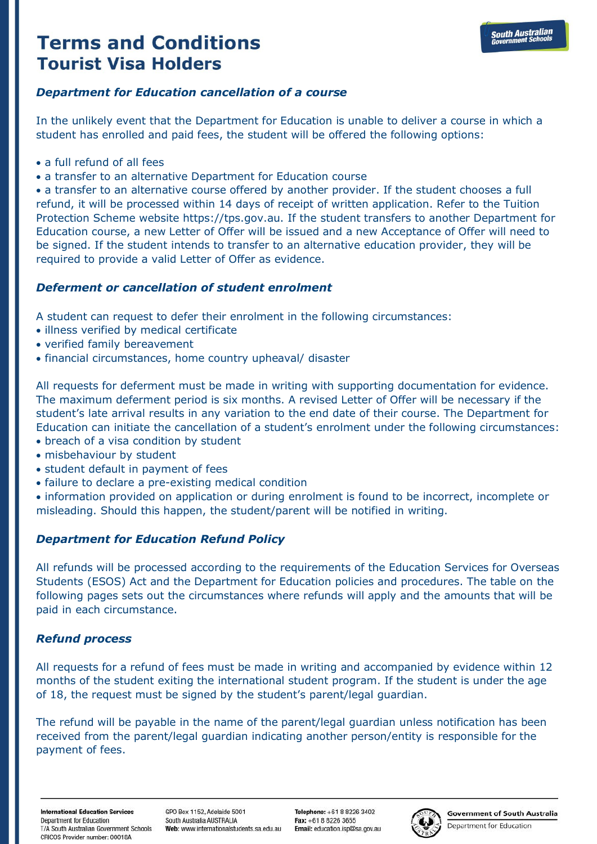#### *Department for Education cancellation of a course*

In the unlikely event that the Department for Education is unable to deliver a course in which a student has enrolled and paid fees, the student will be offered the following options:

- a full refund of all fees
- a transfer to an alternative Department for Education course

• a transfer to an alternative course offered by another provider. If the student chooses a full refund, it will be processed within 14 days of receipt of written application. Refer to the Tuition Protection Scheme website https://tps.gov.au. If the student transfers to another Department for Education course, a new Letter of Offer will be issued and a new Acceptance of Offer will need to be signed. If the student intends to transfer to an alternative education provider, they will be required to provide a valid Letter of Offer as evidence.

#### *Deferment or cancellation of student enrolment*

A student can request to defer their enrolment in the following circumstances:

- illness verified by medical certificate
- verified family bereavement
- financial circumstances, home country upheaval/ disaster

All requests for deferment must be made in writing with supporting documentation for evidence. The maximum deferment period is six months. A revised Letter of Offer will be necessary if the student's late arrival results in any variation to the end date of their course. The Department for Education can initiate the cancellation of a student's enrolment under the following circumstances:

- breach of a visa condition by student
- misbehaviour by student
- student default in payment of fees
- failure to declare a pre-existing medical condition

• information provided on application or during enrolment is found to be incorrect, incomplete or misleading. Should this happen, the student/parent will be notified in writing.

### *Department for Education Refund Policy*

All refunds will be processed according to the requirements of the Education Services for Overseas Students (ESOS) Act and the Department for Education policies and procedures. The table on the following pages sets out the circumstances where refunds will apply and the amounts that will be paid in each circumstance.

### *Refund process*

All requests for a refund of fees must be made in writing and accompanied by evidence within 12 months of the student exiting the international student program. If the student is under the age of 18, the request must be signed by the student's parent/legal guardian.

The refund will be payable in the name of the parent/legal guardian unless notification has been received from the parent/legal guardian indicating another person/entity is responsible for the payment of fees.

International Education Services Denartment for Education T/A South Australian Government Schools CRICOS Provider number: 00018A

GPO Box 1152 Adelaide 5001 South Australia AUSTRAUA Web: www.internationalstudents.sa.edu.au

Telenhone: +61 8 8226 3402 Fax: +61.8.8226.3655 Email: education.isp@sa.gov.au



**Government of South Australia**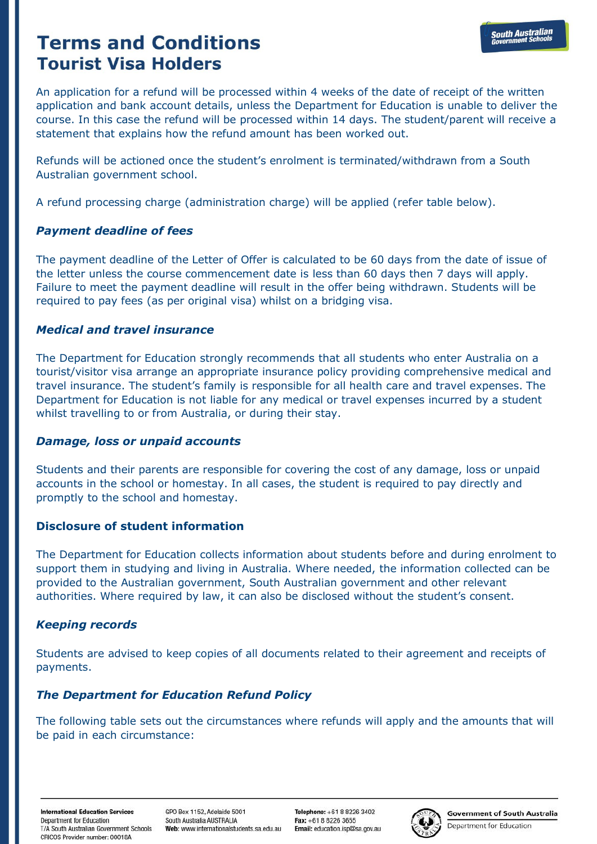An application for a refund will be processed within 4 weeks of the date of receipt of the written application and bank account details, unless the Department for Education is unable to deliver the course. In this case the refund will be processed within 14 days. The student/parent will receive a statement that explains how the refund amount has been worked out.

Refunds will be actioned once the student's enrolment is terminated/withdrawn from a South Australian government school.

A refund processing charge (administration charge) will be applied (refer table below).

### *Payment deadline of fees*

The payment deadline of the Letter of Offer is calculated to be 60 days from the date of issue of the letter unless the course commencement date is less than 60 days then 7 days will apply. Failure to meet the payment deadline will result in the offer being withdrawn. Students will be required to pay fees (as per original visa) whilst on a bridging visa.

### *Medical and travel insurance*

The Department for Education strongly recommends that all students who enter Australia on a tourist/visitor visa arrange an appropriate insurance policy providing comprehensive medical and travel insurance. The student's family is responsible for all health care and travel expenses. The Department for Education is not liable for any medical or travel expenses incurred by a student whilst travelling to or from Australia, or during their stay.

### *Damage, loss or unpaid accounts*

Students and their parents are responsible for covering the cost of any damage, loss or unpaid accounts in the school or homestay. In all cases, the student is required to pay directly and promptly to the school and homestay.

## **Disclosure of student information**

The Department for Education collects information about students before and during enrolment to support them in studying and living in Australia. Where needed, the information collected can be provided to the Australian government, South Australian government and other relevant authorities. Where required by law, it can also be disclosed without the student's consent.

## *Keeping records*

Students are advised to keep copies of all documents related to their agreement and receipts of payments.

## *The Department for Education Refund Policy*

The following table sets out the circumstances where refunds will apply and the amounts that will be paid in each circumstance:

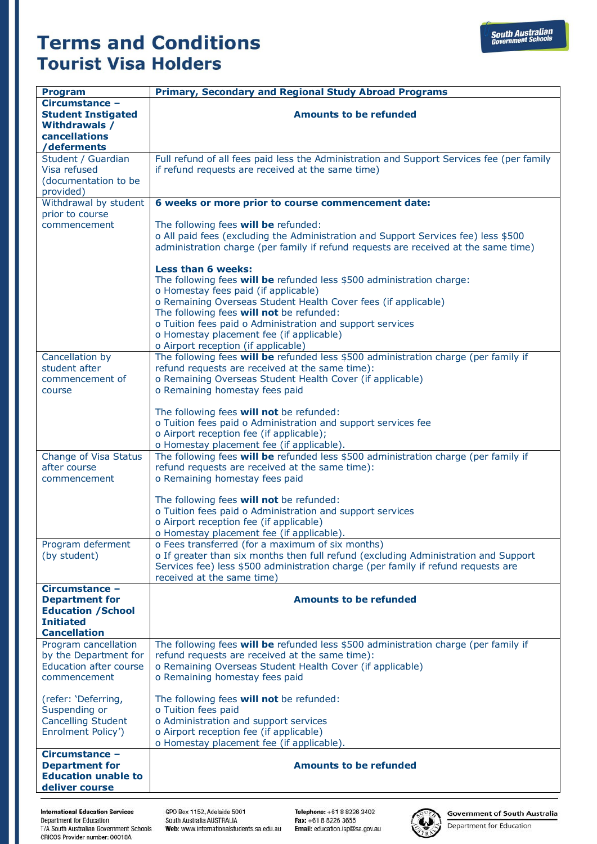| <b>Program</b>                                                                          | <b>Primary, Secondary and Regional Study Abroad Programs</b>                                                                                                                                                                                               |
|-----------------------------------------------------------------------------------------|------------------------------------------------------------------------------------------------------------------------------------------------------------------------------------------------------------------------------------------------------------|
| Circumstance -<br><b>Student Instigated</b><br><b>Withdrawals /</b><br>cancellations    | <b>Amounts to be refunded</b>                                                                                                                                                                                                                              |
| /deferments                                                                             |                                                                                                                                                                                                                                                            |
| Student / Guardian<br>Visa refused<br>(documentation to be<br>provided)                 | Full refund of all fees paid less the Administration and Support Services fee (per family<br>if refund requests are received at the same time)                                                                                                             |
| Withdrawal by student<br>prior to course                                                | 6 weeks or more prior to course commencement date:                                                                                                                                                                                                         |
| commencement                                                                            | The following fees will be refunded:<br>o All paid fees (excluding the Administration and Support Services fee) less \$500<br>administration charge (per family if refund requests are received at the same time)                                          |
|                                                                                         | <b>Less than 6 weeks:</b><br>The following fees will be refunded less \$500 administration charge:<br>o Homestay fees paid (if applicable)                                                                                                                 |
|                                                                                         | o Remaining Overseas Student Health Cover fees (if applicable)<br>The following fees will not be refunded:                                                                                                                                                 |
|                                                                                         | o Tuition fees paid o Administration and support services<br>o Homestay placement fee (if applicable)<br>o Airport reception (if applicable)                                                                                                               |
| Cancellation by<br>student after<br>commencement of                                     | The following fees will be refunded less \$500 administration charge (per family if<br>refund requests are received at the same time):<br>o Remaining Overseas Student Health Cover (if applicable)                                                        |
| course                                                                                  | o Remaining homestay fees paid                                                                                                                                                                                                                             |
|                                                                                         | The following fees will not be refunded:<br>o Tuition fees paid o Administration and support services fee                                                                                                                                                  |
|                                                                                         | o Airport reception fee (if applicable);<br>o Homestay placement fee (if applicable).                                                                                                                                                                      |
| Change of Visa Status<br>after course<br>commencement                                   | The following fees will be refunded less \$500 administration charge (per family if<br>refund requests are received at the same time):<br>o Remaining homestay fees paid                                                                                   |
|                                                                                         | The following fees will not be refunded:<br>o Tuition fees paid o Administration and support services<br>o Airport reception fee (if applicable)<br>o Homestay placement fee (if applicable).                                                              |
| Program deferment<br>(by student)                                                       | o Fees transferred (for a maximum of six months)<br>o If greater than six months then full refund (excluding Administration and Support<br>Services fee) less \$500 administration charge (per family if refund requests are<br>received at the same time) |
| Circumstance -<br><b>Department for</b><br><b>Education /School</b><br><b>Initiated</b> | <b>Amounts to be refunded</b>                                                                                                                                                                                                                              |
| <b>Cancellation</b><br>Program cancellation                                             | The following fees will be refunded less \$500 administration charge (per family if                                                                                                                                                                        |
| by the Department for                                                                   | refund requests are received at the same time):                                                                                                                                                                                                            |
| <b>Education after course</b>                                                           | o Remaining Overseas Student Health Cover (if applicable)                                                                                                                                                                                                  |
| commencement                                                                            | o Remaining homestay fees paid                                                                                                                                                                                                                             |
| (refer: 'Deferring,<br>Suspending or                                                    | The following fees will not be refunded:<br>o Tuition fees paid                                                                                                                                                                                            |
| <b>Cancelling Student</b><br>Enrolment Policy')                                         | o Administration and support services<br>o Airport reception fee (if applicable)<br>o Homestay placement fee (if applicable).                                                                                                                              |
| Circumstance -<br><b>Department for</b><br><b>Education unable to</b><br>deliver course | <b>Amounts to be refunded</b>                                                                                                                                                                                                                              |

**International Education Services** Department for Education<br>T/A South Australian Government Schools CRICOS Provider number: 00018A

GPO Box 1152, Adelaide 5001 GPO BOX 1152, Adelaide 5001<br>South Australia AUSTRALIA<br>Web: www.internationalstudents.sa.edu.au

Telephone: +61 8 8226 3402 Fax: +61 8 8226 3462<br>Fax: +61 8 8226 3655<br>Email: education.isp@sa.gov.au



**Government of South Australia** Department for Education